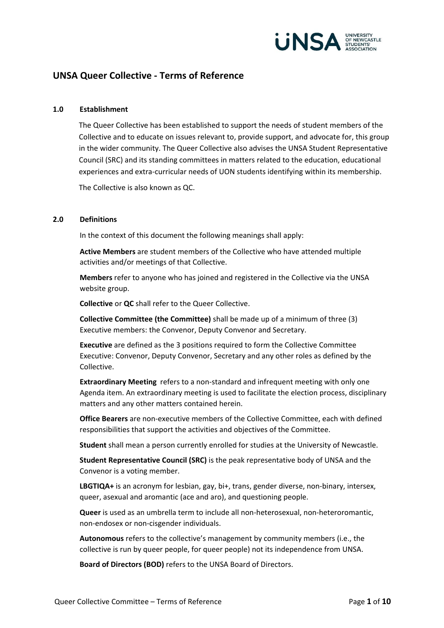

# **UNSA Queer Collective - Terms of Reference**

#### **1.0 Establishment**

The Queer Collective has been established to support the needs of student members of the Collective and to educate on issues relevant to, provide support, and advocate for, this group in the wider community. The Queer Collective also advises the UNSA Student Representative Council (SRC) and its standing committees in matters related to the education, educational experiences and extra-curricular needs of UON students identifying within its membership.

The Collective is also known as QC.

#### **2.0 Definitions**

In the context of this document the following meanings shall apply:

**Active Members** are student members of the Collective who have attended multiple activities and/or meetings of that Collective.

**Members** refer to anyone who has joined and registered in the Collective via the UNSA website group.

**Collective** or **QC** shall refer to the Queer Collective.

**Collective Committee (the Committee)** shall be made up of a minimum of three (3) Executive members: the Convenor, Deputy Convenor and Secretary.

**Executive** are defined as the 3 positions required to form the Collective Committee Executive: Convenor, Deputy Convenor, Secretary and any other roles as defined by the Collective.

**Extraordinary Meeting** refers to a non-standard and infrequent meeting with only one Agenda item. An extraordinary meeting is used to facilitate the election process, disciplinary matters and any other matters contained herein.

**Office Bearers** are non-executive members of the Collective Committee, each with defined responsibilities that support the activities and objectives of the Committee.

**Student** shall mean a person currently enrolled for studies at the University of Newcastle.

**Student Representative Council (SRC)** is the peak representative body of UNSA and the Convenor is a voting member.

**LBGTIQA+** is an acronym for lesbian, gay, bi+, trans, gender diverse, non-binary, intersex, queer, asexual and aromantic (ace and aro), and questioning people.

**Queer** is used as an umbrella term to include all non-heterosexual, non-heteroromantic, non-endosex or non-cisgender individuals.

**Autonomous** refers to the collective's management by community members (i.e., the collective is run by queer people, for queer people) not its independence from UNSA.

**Board of Directors (BOD)** refers to the UNSA Board of Directors.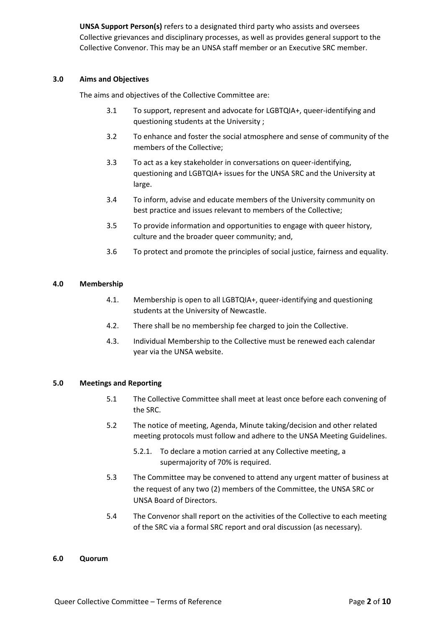**UNSA Support Person(s)** refers to a designated third party who assists and oversees Collective grievances and disciplinary processes, as well as provides general support to the Collective Convenor. This may be an UNSA staff member or an Executive SRC member.

### **3.0 Aims and Objectives**

The aims and objectives of the Collective Committee are:

- 3.1 To support, represent and advocate for LGBTQIA+, queer-identifying and questioning students at the University ;
- 3.2 To enhance and foster the social atmosphere and sense of community of the members of the Collective;
- 3.3 To act as a key stakeholder in conversations on queer-identifying, questioning and LGBTQIA+ issues for the UNSA SRC and the University at large.
- 3.4 To inform, advise and educate members of the University community on best practice and issues relevant to members of the Collective;
- 3.5 To provide information and opportunities to engage with queer history, culture and the broader queer community; and,
- 3.6 To protect and promote the principles of social justice, fairness and equality.

# **4.0 Membership**

- 4.1. Membership is open to all LGBTQIA+, queer-identifying and questioning students at the University of Newcastle.
- 4.2. There shall be no membership fee charged to join the Collective.
- 4.3. Individual Membership to the Collective must be renewed each calendar year via the UNSA website.

### **5.0 Meetings and Reporting**

- 5.1 The Collective Committee shall meet at least once before each convening of the SRC.
- 5.2 The notice of meeting, Agenda, Minute taking/decision and other related meeting protocols must follow and adhere to the UNSA Meeting Guidelines.
	- 5.2.1. To declare a motion carried at any Collective meeting, a supermajority of 70% is required.
- 5.3 The Committee may be convened to attend any urgent matter of business at the request of any two (2) members of the Committee, the UNSA SRC or UNSA Board of Directors.
- 5.4 The Convenor shall report on the activities of the Collective to each meeting of the SRC via a formal SRC report and oral discussion (as necessary).

#### **6.0 Quorum**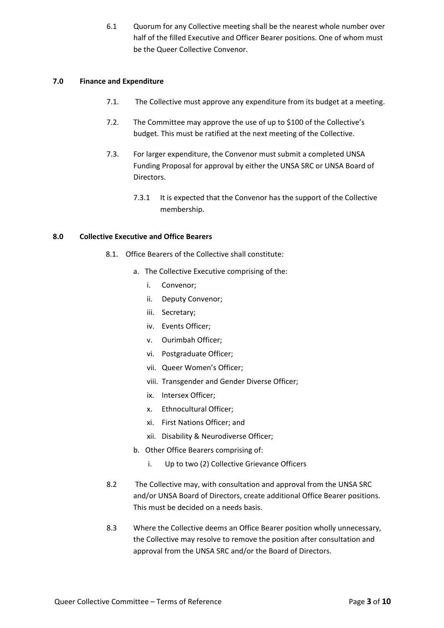6.1 Quorum for any Collective meeting shall be the nearest whole number over half of the filled Executive and Officer Bearer positions. One of whom must be the Queer Collective Convenor.

# **7.0 Finance and Expenditure**

- 7.1. The Collective must approve any expenditure from its budget at a meeting.
- 7.2. The Committee may approve the use of up to \$100 of the Collective's budget. This must be ratified at the next meeting of the Collective.
- 7.3. For larger expenditure, the Convenor must submit a completed UNSA Funding Proposal for approval by either the UNSA SRC or UNSA Board of Directors.
	- 7.3.1 It is expected that the Convenor has the support of the Collective membership.

# **8.0 Collective Executive and Office Bearers**

- 8.1. Office Bearers of the Collective shall constitute:
	- a. The Collective Executive comprising of the:
		- i. Convenor;
		- ii. Deputy Convenor;
		- iii. Secretary;
		- iv. Events Officer;
		- v. Ourimbah Officer;
		- vi. Postgraduate Officer;
		- vii. Queer Women's Officer;
		- viii. Transgender and Gender Diverse Officer;
		- ix. Intersex Officer;
		- x. Ethnocultural Officer;
		- xi. First Nations Officer; and
		- xii. Disability & Neurodiverse Officer;
	- b. Other Office Bearers comprising of:
		- i. Up to two (2) Collective Grievance Officers
- 8.2 The Collective may, with consultation and approval from the UNSA SRC and/or UNSA Board of Directors, create additional Office Bearer positions. This must be decided on a needs basis.
- 8.3 Where the Collective deems an Office Bearer position wholly unnecessary, the Collective may resolve to remove the position after consultation and approval from the UNSA SRC and/or the Board of Directors.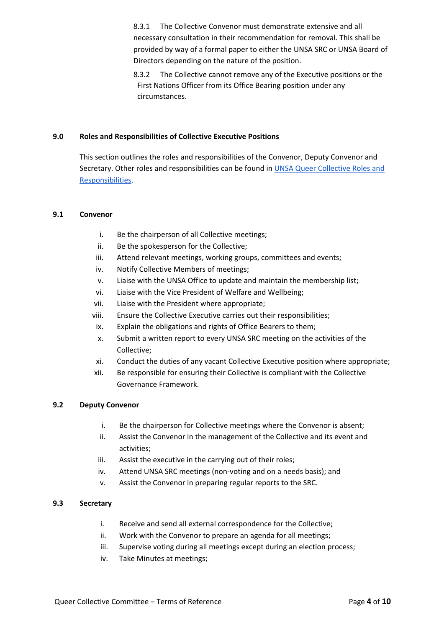8.3.1 The Collective Convenor must demonstrate extensive and all necessary consultation in their recommendation for removal. This shall be provided by way of a formal paper to either the UNSA SRC or UNSA Board of Directors depending on the nature of the position.

8.3.2 The Collective cannot remove any of the Executive positions or the First Nations Officer from its Office Bearing position under any circumstances.

### **9.0 Roles and Responsibilities of Collective Executive Positions**

This section outlines the roles and responsibilities of the Convenor, Deputy Convenor and Secretary. Other roles and responsibilities can be found in [UNSA Queer Collective Roles and](https://docs.google.com/document/d/1igkqgtjOm1YiuA004wBJAZO80o1tyDI5l2MvxECRUZo/edit?usp=sharing)  [Responsibilities.](https://docs.google.com/document/d/1igkqgtjOm1YiuA004wBJAZO80o1tyDI5l2MvxECRUZo/edit?usp=sharing)

# **9.1 Convenor**

- i. Be the chairperson of all Collective meetings;
- ii. Be the spokesperson for the Collective;
- iii. Attend relevant meetings, working groups, committees and events;
- iv. Notify Collective Members of meetings;
- v. Liaise with the UNSA Office to update and maintain the membership list;
- vi. Liaise with the Vice President of Welfare and Wellbeing;
- vii. Liaise with the President where appropriate;
- viii. Ensure the Collective Executive carries out their responsibilities;
- ix. Explain the obligations and rights of Office Bearers to them;
- x. Submit a written report to every UNSA SRC meeting on the activities of the Collective;
- xi. Conduct the duties of any vacant Collective Executive position where appropriate;
- xii. Be responsible for ensuring their Collective is compliant with the Collective Governance Framework.

# **9.2 Deputy Convenor**

- i. Be the chairperson for Collective meetings where the Convenor is absent;
- ii. Assist the Convenor in the management of the Collective and its event and activities;
- iii. Assist the executive in the carrying out of their roles;
- iv. Attend UNSA SRC meetings (non-voting and on a needs basis); and
- v. Assist the Convenor in preparing regular reports to the SRC.

# **9.3 Secretary**

- i. Receive and send all external correspondence for the Collective;
- ii. Work with the Convenor to prepare an agenda for all meetings;
- iii. Supervise voting during all meetings except during an election process;
- iv. Take Minutes at meetings;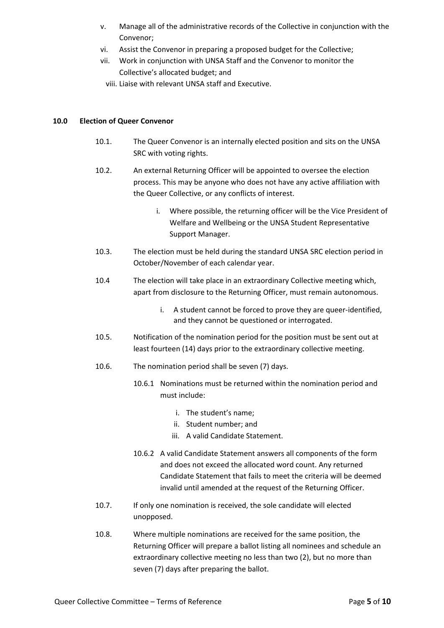- v. Manage all of the administrative records of the Collective in conjunction with the Convenor;
- vi. Assist the Convenor in preparing a proposed budget for the Collective;
- vii. Work in conjunction with UNSA Staff and the Convenor to monitor the Collective's allocated budget; and
- viii. Liaise with relevant UNSA staff and Executive.

# **10.0 Election of Queer Convenor**

- 10.1. The Queer Convenor is an internally elected position and sits on the UNSA SRC with voting rights.
- 10.2. An external Returning Officer will be appointed to oversee the election process. This may be anyone who does not have any active affiliation with the Queer Collective, or any conflicts of interest.
	- i. Where possible, the returning officer will be the Vice President of Welfare and Wellbeing or the UNSA Student Representative Support Manager.
- 10.3. The election must be held during the standard UNSA SRC election period in October/November of each calendar year.
- 10.4 The election will take place in an extraordinary Collective meeting which, apart from disclosure to the Returning Officer, must remain autonomous.
	- i. A student cannot be forced to prove they are queer-identified, and they cannot be questioned or interrogated.
- 10.5. Notification of the nomination period for the position must be sent out at least fourteen (14) days prior to the extraordinary collective meeting.
- 10.6. The nomination period shall be seven (7) days.
	- 10.6.1 Nominations must be returned within the nomination period and must include:
		- i. The student's name;
		- ii. Student number; and
		- iii. A valid Candidate Statement.
	- 10.6.2 A valid Candidate Statement answers all components of the form and does not exceed the allocated word count. Any returned Candidate Statement that fails to meet the criteria will be deemed invalid until amended at the request of the Returning Officer.
- 10.7. If only one nomination is received, the sole candidate will elected unopposed.
- 10.8. Where multiple nominations are received for the same position, the Returning Officer will prepare a ballot listing all nominees and schedule an extraordinary collective meeting no less than two (2), but no more than seven (7) days after preparing the ballot.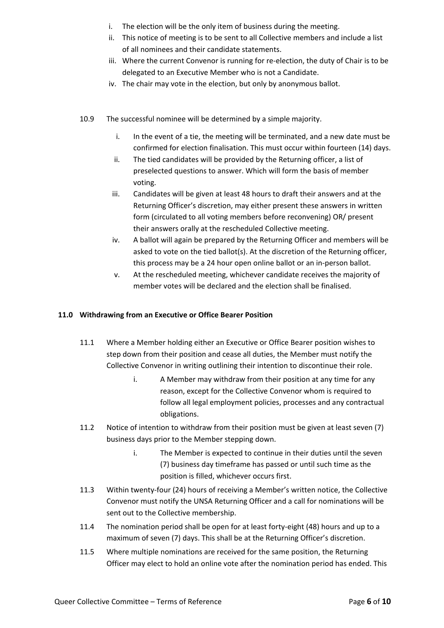- i. The election will be the only item of business during the meeting.
- ii. This notice of meeting is to be sent to all Collective members and include a list of all nominees and their candidate statements.
- iii. Where the current Convenor is running for re-election, the duty of Chair is to be delegated to an Executive Member who is not a Candidate.
- iv. The chair may vote in the election, but only by anonymous ballot.
- 10.9 The successful nominee will be determined by a simple majority.
	- i. In the event of a tie, the meeting will be terminated, and a new date must be confirmed for election finalisation. This must occur within fourteen (14) days.
	- ii. The tied candidates will be provided by the Returning officer, a list of preselected questions to answer. Which will form the basis of member voting.
	- iii. Candidates will be given at least 48 hours to draft their answers and at the Returning Officer's discretion, may either present these answers in written form (circulated to all voting members before reconvening) OR/ present their answers orally at the rescheduled Collective meeting.
	- iv. A ballot will again be prepared by the Returning Officer and members will be asked to vote on the tied ballot(s). At the discretion of the Returning officer, this process may be a 24 hour open online ballot or an in-person ballot.
	- v. At the rescheduled meeting, whichever candidate receives the majority of member votes will be declared and the election shall be finalised.

### **11.0 Withdrawing from an Executive or Office Bearer Position**

- 11.1 Where a Member holding either an Executive or Office Bearer position wishes to step down from their position and cease all duties, the Member must notify the Collective Convenor in writing outlining their intention to discontinue their role.
	- i. A Member may withdraw from their position at any time for any reason, except for the Collective Convenor whom is required to follow all legal employment policies, processes and any contractual obligations.
- 11.2 Notice of intention to withdraw from their position must be given at least seven (7) business days prior to the Member stepping down.
	- i. The Member is expected to continue in their duties until the seven (7) business day timeframe has passed or until such time as the position is filled, whichever occurs first.
- 11.3 Within twenty-four (24) hours of receiving a Member's written notice, the Collective Convenor must notify the UNSA Returning Officer and a call for nominations will be sent out to the Collective membership.
- 11.4 The nomination period shall be open for at least forty-eight (48) hours and up to a maximum of seven (7) days. This shall be at the Returning Officer's discretion.
- 11.5 Where multiple nominations are received for the same position, the Returning Officer may elect to hold an online vote after the nomination period has ended. This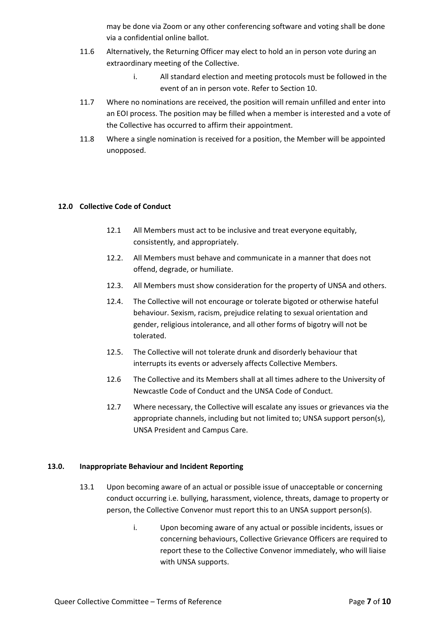may be done via Zoom or any other conferencing software and voting shall be done via a confidential online ballot.

- 11.6 Alternatively, the Returning Officer may elect to hold an in person vote during an extraordinary meeting of the Collective.
	- i. All standard election and meeting protocols must be followed in the event of an in person vote. Refer to Section 10.
- 11.7 Where no nominations are received, the position will remain unfilled and enter into an EOI process. The position may be filled when a member is interested and a vote of the Collective has occurred to affirm their appointment.
- 11.8 Where a single nomination is received for a position, the Member will be appointed unopposed.

### **12.0 Collective Code of Conduct**

- 12.1 All Members must act to be inclusive and treat everyone equitably, consistently, and appropriately.
- 12.2. All Members must behave and communicate in a manner that does not offend, degrade, or humiliate.
- 12.3. All Members must show consideration for the property of UNSA and others.
- 12.4. The Collective will not encourage or tolerate bigoted or otherwise hateful behaviour. Sexism, racism, prejudice relating to sexual orientation and gender, religious intolerance, and all other forms of bigotry will not be tolerated.
- 12.5. The Collective will not tolerate drunk and disorderly behaviour that interrupts its events or adversely affects Collective Members.
- 12.6 The Collective and its Members shall at all times adhere to the University of Newcastle Code of Conduct and the UNSA Code of Conduct.
- 12.7 Where necessary, the Collective will escalate any issues or grievances via the appropriate channels, including but not limited to; UNSA support person(s), UNSA President and Campus Care.

### **13.0. Inappropriate Behaviour and Incident Reporting**

- 13.1 Upon becoming aware of an actual or possible issue of unacceptable or concerning conduct occurring i.e. bullying, harassment, violence, threats, damage to property or person, the Collective Convenor must report this to an UNSA support person(s).
	- i. Upon becoming aware of any actual or possible incidents, issues or concerning behaviours, Collective Grievance Officers are required to report these to the Collective Convenor immediately, who will liaise with UNSA supports.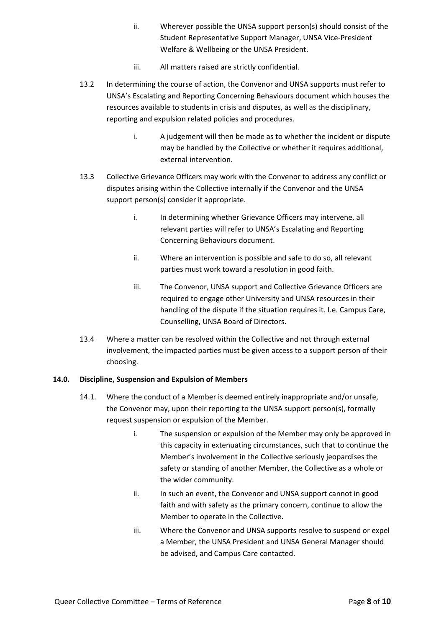- ii. Wherever possible the UNSA support person(s) should consist of the Student Representative Support Manager, UNSA Vice-President Welfare & Wellbeing or the UNSA President.
- iii. All matters raised are strictly confidential.
- 13.2 In determining the course of action, the Convenor and UNSA supports must refer to UNSA's Escalating and Reporting Concerning Behaviours document which houses the resources available to students in crisis and disputes, as well as the disciplinary, reporting and expulsion related policies and procedures.
	- i. A judgement will then be made as to whether the incident or dispute may be handled by the Collective or whether it requires additional, external intervention.
- 13.3 Collective Grievance Officers may work with the Convenor to address any conflict or disputes arising within the Collective internally if the Convenor and the UNSA support person(s) consider it appropriate.
	- i. In determining whether Grievance Officers may intervene, all relevant parties will refer to UNSA's Escalating and Reporting Concerning Behaviours document.
	- ii. Where an intervention is possible and safe to do so, all relevant parties must work toward a resolution in good faith.
	- iii. The Convenor, UNSA support and Collective Grievance Officers are required to engage other University and UNSA resources in their handling of the dispute if the situation requires it. I.e. Campus Care, Counselling, UNSA Board of Directors.
- 13.4 Where a matter can be resolved within the Collective and not through external involvement, the impacted parties must be given access to a support person of their choosing.

# **14.0. Discipline, Suspension and Expulsion of Members**

- 14.1. Where the conduct of a Member is deemed entirely inappropriate and/or unsafe, the Convenor may, upon their reporting to the UNSA support person(s), formally request suspension or expulsion of the Member.
	- i. The suspension or expulsion of the Member may only be approved in this capacity in extenuating circumstances, such that to continue the Member's involvement in the Collective seriously jeopardises the safety or standing of another Member, the Collective as a whole or the wider community.
	- ii. In such an event, the Convenor and UNSA support cannot in good faith and with safety as the primary concern, continue to allow the Member to operate in the Collective.
	- iii. Where the Convenor and UNSA supports resolve to suspend or expel a Member, the UNSA President and UNSA General Manager should be advised, and Campus Care contacted.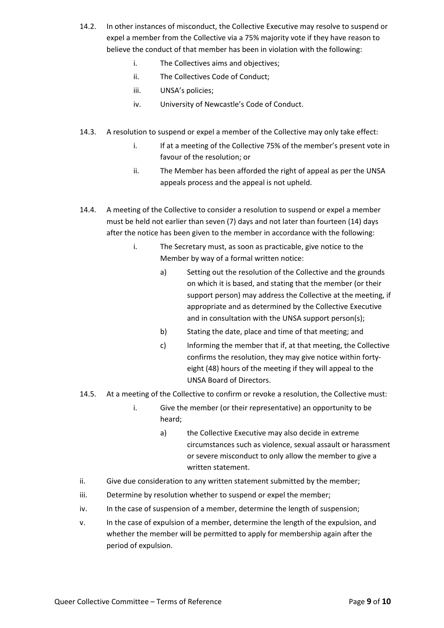- 14.2. In other instances of misconduct, the Collective Executive may resolve to suspend or expel a member from the Collective via a 75% majority vote if they have reason to believe the conduct of that member has been in violation with the following:
	- i. The Collectives aims and objectives;
	- ii. The Collectives Code of Conduct;
	- iii. UNSA's policies;
	- iv. University of Newcastle's Code of Conduct.
- 14.3. A resolution to suspend or expel a member of the Collective may only take effect:
	- i. If at a meeting of the Collective 75% of the member's present vote in favour of the resolution; or
	- ii. The Member has been afforded the right of appeal as per the UNSA appeals process and the appeal is not upheld.
- 14.4. A meeting of the Collective to consider a resolution to suspend or expel a member must be held not earlier than seven (7) days and not later than fourteen (14) days after the notice has been given to the member in accordance with the following:
	- i. The Secretary must, as soon as practicable, give notice to the Member by way of a formal written notice:
		- a) Setting out the resolution of the Collective and the grounds on which it is based, and stating that the member (or their support person) may address the Collective at the meeting, if appropriate and as determined by the Collective Executive and in consultation with the UNSA support person(s);
		- b) Stating the date, place and time of that meeting; and
		- c) Informing the member that if, at that meeting, the Collective confirms the resolution, they may give notice within fortyeight (48) hours of the meeting if they will appeal to the UNSA Board of Directors.
- 14.5. At a meeting of the Collective to confirm or revoke a resolution, the Collective must:
	- i. Give the member (or their representative) an opportunity to be heard;
		- a) the Collective Executive may also decide in extreme circumstances such as violence, sexual assault or harassment or severe misconduct to only allow the member to give a written statement.
- ii. Give due consideration to any written statement submitted by the member;
- iii. Determine by resolution whether to suspend or expel the member;
- iv. In the case of suspension of a member, determine the length of suspension;
- v. In the case of expulsion of a member, determine the length of the expulsion, and whether the member will be permitted to apply for membership again after the period of expulsion.